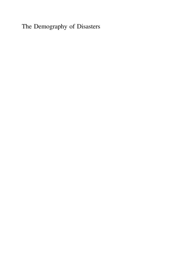The Demography of Disasters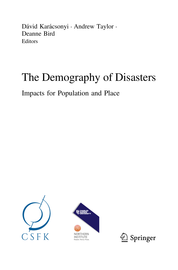Dávid Karácsonyi • Andrew Taylor • Deanne Bird Editors

# The Demography of Disasters

Impacts for Population and Place





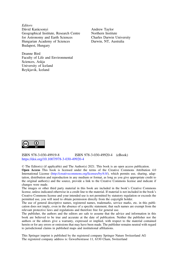**Editors** Dávid Karácsonyi Geographical Institute, Research Centre for Astronomy and Earth Sciences Hungarian Academy of Sciences Budapest, Hungary

Deanne Bird Faculty of Life and Environmental Sciences, Askja University of Iceland Reykjavik, Iceland

Andrew Taylor Northern Institute Charles Darwin University Darwin, NT, Australia



ISBN 978-3-030-49919-8 ISBN 978-3-030-49920-4 (eBook) <https://doi.org/10.1007/978-3-030-49920-4>

© The Editor(s) (if applicable) and The Author(s) 2021. This book is an open access publication.

Open Access This book is licensed under the terms of the Creative Commons Attribution 4.0 International License ([http://creativecommons.org/licenses/by/4.0/\)](http://creativecommons.org/licenses/by/4.0/), which permits use, sharing, adaptation, distribution and reproduction in any medium or format, as long as you give appropriate credit to the original author(s) and the source, provide a link to the Creative Commons license and indicate if changes were made.

The images or other third party material in this book are included in the book's Creative Commons license, unless indicated otherwise in a credit line to the material. If material is not included in the book's Creative Commons license and your intended use is not permitted by statutory regulation or exceeds the permitted use, you will need to obtain permission directly from the copyright holder.

The use of general descriptive names, registered names, trademarks, service marks, etc. in this publication does not imply, even in the absence of a specific statement, that such names are exempt from the relevant protective laws and regulations and therefore free for general use.

The publisher, the authors and the editors are safe to assume that the advice and information in this book are believed to be true and accurate at the date of publication. Neither the publisher nor the authors or the editors give a warranty, expressed or implied, with respect to the material contained herein or for any errors or omissions that may have been made. The publisher remains neutral with regard to jurisdictional claims in published maps and institutional affiliations.

This Springer imprint is published by the registered company Springer Nature Switzerland AG The registered company address is: Gewerbestrasse 11, 6330 Cham, Switzerland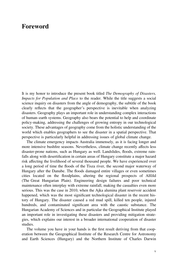## Foreword

It is my honor to introduce the present book titled The Demography of Disasters, Impacts for Population and Place to the reader. While the title suggests a social science inquiry on disasters from the angle of demography, the subtitle of the book clearly reflects that the geographer's perspective is inevitable when analyzing disasters. Geography plays an important role in understanding complex interactions of human–earth systems. Geography also bears the potential to help and coordinate policy-making, addressing the challenges of growing entropy in our technological society. These advantages of geography come from the holistic understanding of the world which enables geographers to see the disaster in a spatial perspective. That perspective is particularly helpful in addressing issues of global climate change.

The climate emergency impacts Australia immensely, as it is facing longer and more intensive bushfire seasons. Nevertheless, climate change recently affects less disaster-prone nations, such as Hungary as well. Landslides, floods, extreme rainfalls along with desertification in certain areas of Hungary constitute a major hazard risk affecting the livelihood of several thousand people. We have experienced over a long period of time the floods of the Tisza river, the second major waterway of Hungary after the Danube. The floods damaged entire villages or even sometimes cities located on the floodplains, altering the regional prospects of Alföld (The Great Hungarian Plain). Engineering design failures and poor technical maintenance often interplay with extreme rainfall, making the casualties even more serious. This was the case in 2010, when the Ajka alumina plant reservoir accident happened, which was the most significant technological disaster in the recent history of Hungary. The disaster caused a red mud spill, killed ten people, injured hundreds, and contaminated significant area with the caustic substance. The Hungarian Academy of Sciences and in particular the Geographical Institute played an important role in investigating these disasters and providing mitigation strategies, which explains our interest in a broader international cooperation of disaster studies.

The volume you have in your hands is the first result deriving from that cooperation between the Geographical Institute of the Research Centre for Astronomy and Earth Sciences (Hungary) and the Northern Institute of Charles Darwin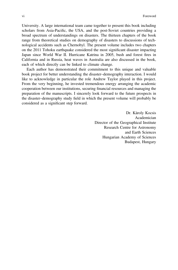University. A large international team came together to present this book including scholars from Asia-Pacific, the USA, and the post-Soviet countries providing a broad spectrum of understandings on disasters. The thirteen chapters of the book range from theoretical studies on demography of disasters to discussions of technological accidents such as Chernobyl. The present volume includes two chapters on the 2011 Tohoku earthquake considered the most significant disaster impacting Japan since World War II. Hurricane Katrina in 2005, bush and forest fires in California and in Russia, heat waves in Australia are also discussed in the book, each of which directly can be linked to climate change.

Each author has demonstrated their commitment to this unique and valuable book project for better understanding the disaster–demography interaction. I would like to acknowledge in particular the role Andrew Taylor played in this project. From the very beginning, he invested tremendous energy arranging the academic cooperation between our institutions, securing financial resources and managing the preparation of the manuscripts. I sincerely look forward to the future prospects in the disaster–demography study field in which the present volume will probably be considered as a significant step forward.

> Dr. Károly Kocsis Academician Director of the Geographical Institute Research Centre for Astronomy and Earth Sciences Hungarian Academy of Sciences Budapest, Hungary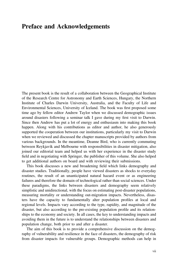## Preface and Acknowledgements

The present book is the result of a collaboration between the Geographical Institute of the Research Centre for Astronomy and Earth Sciences, Hungary, the Northern Institute of Charles Darwin University, Australia, and the Faculty of Life and Environmental Sciences, University of Iceland. The book was first proposed some time ago by fellow editor Andrew Taylor when we discussed demographic issues around disasters following a seminar talk I gave during my first visit to Darwin. Since then Andrew has put a lot of energy and enthusiasm into making this book happen. Along with his contributions as editor and author, he also generously supported the cooperation between our institutions, particularly my visit to Darwin when we reviewed and discussed the chapter manuscripts provided by authors from various backgrounds. In the meantime, Deanne Bird, who is currently commuting between Reykjavík and Melbourne with responsibilities in disaster mitigation, also joined our editorial team and helped us with her experience in the disaster study field and in negotiating with Springer, the publisher of this volume. She also helped to get additional authors on board and with reviewing their submissions.

This book discusses a new and broadening field which links demography and disaster studies. Traditionally, people have viewed disasters as shocks to everyday routines, the result of an unanticipated natural hazard event or as engineering failures and therefore the domain of technological rather than social sciences. Under these paradigms, the links between disasters and demography seem relatively simplistic and unidirectional, with the focus on estimating post-disaster populations, measuring mortality or understanding out-migration impacts. Nevertheless, disasters have the capacity to fundamentally alter population profiles at local and regional levels. Impacts vary according to the type, rapidity, and magnitude of the disaster, but also according to the pre-existing population profile and its relationships to the economy and society. In all cases, the key to understanding impacts and avoiding them in the future is to understand the relationships between disasters and population change, both prior to and after a disaster.

The aim of this book is to provide a comprehensive discussion on the demography of vulnerability and resilience in the face of disasters, the demography of risk from disaster impacts for vulnerable groups. Demographic methods can help in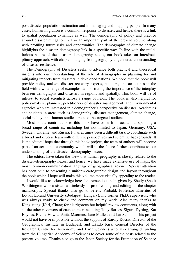post-disaster population estimation and in managing and mapping people. In many cases, human migration is a common response to disaster, and hence, there is a link to spatial population dynamics as well. The demography of policy and practice around disaster mitigation is also an important part of the present volume along with profiling future risks and opportunities. The demography of climate change highlights the disaster–demography link in a specific way. In line with the multifarious nature of the disaster–demography nexus, our book takes an interdisciplinary approach, with chapters ranging from geography to gendered understanding of disaster resilience.

The Demography of Disasters seeks to advance both practical and theoretical insights into our understanding of the role of demography in planning for and mitigating impacts from disasters in developed nations. We hope that the book will provide policy-makers, disaster recovery experts, planners, and academics in the field with a wide range of examples demonstrating the importance of the interplay between demography and disasters in regions and spatially. This book will be of interest to social scientists across a range of fields. The book is also helpful for policy-makers, planners, practitioners of disaster management, and environmental agencies who are interested in a demographer's perspective on disaster. Academics and students in areas such as demography, disaster management, climate change, social policy, and human studies are also the targeted audience.

Most of the contributors to this book have come from academia, spanning a broad range of countries, including but not limited to Japan, Germany, USA, Sweden, Ukraine, and Russia. It has at times been a difficult task to coordinate such a broad and diverse team with different perspectives and scientific backgrounds. It is the editors' hope that through this book project, the team of authors will become part of an academic community which will in the future further contribute to our understanding of the disaster–demography nexus.

The editors have taken the view that human geography is closely related to the disaster–demography nexus, and hence, we have made extensive use of maps, the most common communication language of geographical science. Special attention has been paid to presenting a uniform cartographic design and layout throughout the book which I hope will make this volume more visually appealing to the reader.

I would like to acknowledge here the tremendous help given by Shelly (Shell) Worthington who assisted us tirelessly in proofreading and editing all the chapter manuscripts. Special thanks also go to Ferenc Probáld, Professor Emeritus of Eötvös Loránd University (Budapest, Hungary), my former Ph.D. supervisor, who was always ready to check and comment on my work. Also many thanks to Kang-tsung (Karl) Chang for his rigorous but helpful review comments, along with all the other reviewers of each chapter including Tony Barnes, Sigurd Dyrting, Kat Haynes, Richie Howitt, Anita Maertens, Jane Mullet, and Jan Salmon. This project would not have been possible without the support of Károly Kocsis, Director of the Geographical Institute in Budapest, and László Kiss, General Director of the Research Centre for Astronomy and Earth Sciences who also arranged funding from the Hungarian Academy of Sciences to cover some of the costs related to the present volume. Thanks also go to the Japan Society for the Promotion of Science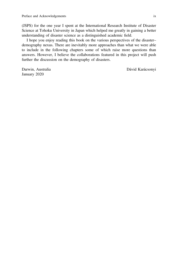(JSPS) for the one year I spent at the International Research Institute of Disaster Science at Tohoku University in Japan which helped me greatly in gaining a better understanding of disaster science as a distinguished academic field.

I hope you enjoy reading this book on the various perspectives of the disaster– demography nexus. There are inevitably more approaches than what we were able to include in the following chapters some of which raise more questions than answers. However, I believe the collaborations featured in this project will push further the discussion on the demography of disasters.

Darwin, Australia January 2020

Dávid Karácsonyi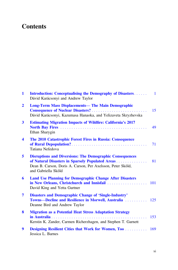# **Contents**

| $\mathbf{1}$         | <b>Introduction: Conceptualising the Demography of Disasters</b><br>Dávid Karácsonyi and Andrew Taylor                                                                                                    | $\overline{1}$ |
|----------------------|-----------------------------------------------------------------------------------------------------------------------------------------------------------------------------------------------------------|----------------|
| $\mathbf{2}$         | <b>Long-Term Mass Displacements- The Main Demographic</b><br>Dávid Karácsonyi, Kazumasa Hanaoka, and Yelizaveta Skryzhevska                                                                               | 15             |
| $\mathbf{3}$         | <b>Estimating Migration Impacts of Wildfire: California's 2017</b><br>Ethan Sharygin                                                                                                                      | 49             |
| $\blacktriangleleft$ | The 2010 Catastrophic Forest Fires in Russia: Consequence<br>Tatiana Nefedova                                                                                                                             | 71             |
| 5                    | <b>Disruptions and Diversions: The Demographic Consequences</b><br>of Natural Disasters in Sparsely Populated Areas<br>Dean B. Carson, Doris A. Carson, Per Axelsson, Peter Sköld,<br>and Gabriella Sköld | 81             |
| 6                    | <b>Land Use Planning for Demographic Change After Disasters</b><br>David King and Yetta Gurtner                                                                                                           |                |
| 7                    | <b>Disasters and Demographic Change of 'Single-Industry'</b><br>Towns-Decline and Resilience in Morwell, Australia<br>Deanne Bird and Andrew Taylor                                                       | 125            |
| 8                    | <b>Migration as a Potential Heat Stress Adaptation Strategy</b><br>Kerstin K. Zander, Carmen Richerzhagen, and Stephen T. Garnett                                                                         | 153            |
| 9                    | <b>Designing Resilient Cities that Work for Women, Too </b><br>Jessica L. Barnes                                                                                                                          | 169            |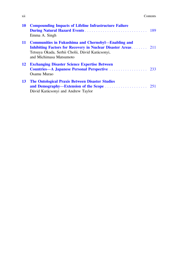| $\cdot$ .<br>X11 | Contents<br>. |
|------------------|---------------|
|                  |               |

| <b>10</b> | <b>Compounding Impacts of Lifeline Infrastructure Failure</b><br>Emma A. Singh                                                                                                                                   |  |
|-----------|------------------------------------------------------------------------------------------------------------------------------------------------------------------------------------------------------------------|--|
| 11        | <b>Communities in Fukushima and Chernobyl—Enabling and</b><br><b>Inhibiting Factors for Recovery in Nuclear Disaster Areas</b> 211<br>Tetsuya Okada, Serhii Cholii, Dávid Karácsonyi,<br>and Michimasa Matsumoto |  |
| <b>12</b> | <b>Exchanging Disaster Science Expertise Between</b><br>Osamu Murao                                                                                                                                              |  |
| <b>13</b> | <b>The Ontological Praxis Between Disaster Studies</b><br>Dávid Karácsonyi and Andrew Taylor                                                                                                                     |  |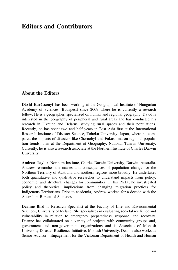# Editors and Contributors

#### About the Editors

Dávid Karácsonyi has been working at the Geographical Institute of Hungarian Academy of Sciences (Budapest) since 2009 where he is currently a research fellow. He is a geographer, specialized on human and regional geography. Dávid is interested in the geography of peripheral and rural areas and has conducted his research in Ukraine and Belarus, studying rural spaces and their populations. Recently, he has spent two and half years in East Asia first at the International Research Institute of Disaster Science, Tohoku University, Japan, where he compared the impacts of disasters like Chernobyl and Fukushima on regional population trends, than at the Department of Geography, National Taiwan University. Currently, he is also a research associate at the Northern Institute of Charles Darwin University.

Andrew Taylor Northern Institute, Charles Darwin University, Darwin, Australia. Andrew researches the causes and consequences of population change for the Northern Territory of Australia and northern regions more broadly. He undertakes both quantitative and qualitative researches to understand impacts from policy, economic, and structural changes for communities. In his Ph.D., he investigated policy and theoretical implications from changing migration practices for Indigenous Territorians. Prior to academia, Andrew worked for a decade with the Australian Bureau of Statistics.

Deanne Bird is Research Specialist at the Faculty of Life and Environmental Sciences, University of Iceland. She specializes in evaluating societal resilience and vulnerability in relation to emergency preparedness, response, and recovery. Deanne has collaborated on a variety of projects with community groups and, government and non-government organizations and is Associate of Monash University Disaster Resilience Initiative, Monash University. Deanne also works as Senior Advisor—Engagement for the Victorian Department of Health and Human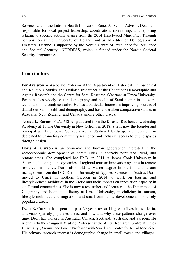Services within the Latrobe Health Innovation Zone. As Senior Advisor, Deanne is responsible for local project leadership, coordination, monitoring, and reporting relating to specific actions arising from the 2014 Hazelwood Mine Fire. Through her position at the University of Iceland, and as an editor of Demography of Disasters, Deanne is supported by the Nordic Centre of Excellence for Resilience and Societal Security—NORDESS, which is funded under the Nordic Societal Security Programme.

### **Contributors**

Per Axelsson is Associate Professor at the Department of Historical, Philosophical and Religious Studies and affiliated researcher at the Centre for Demographic and Ageing Research and the Centre for Sami Research (Vaartoe) at Umeå University. Per publishes widely on the demography and health of Sami people in the eighteenth and nineteenth centuries. He has a particular interest in improving sources of data about Sami health and demography, and has undertaken comparative studies in Australia, New Zealand, and Canada among other places.

Jessica L. Barnes PLA, ASLA, graduated from the Disaster Resilience Leadership Academy at Tulane University in New Orleans in 2018. She is now the founder and principal at Third Coast Collaborative, a US-based landscape architecture firm dedicated to promoting community resilience and inclusive access to public spaces through design.

Doris A. Carson is an economic and human geographer interested in the socioeconomic development of communities in sparsely populated, rural, and remote areas. She completed her Ph.D. in 2011 at James Cook University in Australia, looking at the dynamics of regional tourism innovation systems in remote resource peripheries. Doris also holds a Master degree in tourism and leisure management from the IMC Krems University of Applied Sciences in Austria. Doris moved to Umeå in northern Sweden in 2014 to work on tourism and lifestyle-related mobilities in the Arctic and their impacts on innovation capacity in small rural communities. She is now a researcher and lecturer at the Department of Geography and Economic History at Umeå University, specializing in tourism, lifestyle mobilities and migration, and small community development in sparsely populated areas.

Dean B. Carson has spent the past 20 years researching who lives in, works in, and visits sparsely populated areas, and how and why these patterns change over time. Dean has worked in Australia, Canada, Scotland, Australia, and Sweden. He is currently the inaugural Visiting Professor at the Arctic Research Centre at Umeå University (Arcum) and Guest Professor with Sweden's Centre for Rural Medicine. His primary research interest is demographic change in small towns and villages.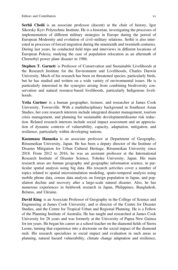Serhii Cholii is an associate professor (docent) at the chair of history, Igor Sikorsky Kyiv Polytechnic Institute. He is a historian, investigating the processes of implementation of different military strategies in Europe during the period of European Modernity and evolution of civil–military relations. Serhii is also interested in processes of forced migration during the nineteenth and twentieth centuries. During last years, he conducted field trips and interviews in different locations of European Polesia, studying the case of population relocation as an aftermath of Chernobyl power plant disaster in 1986.

Stephen T. Garnett is Professor of Conservation and Sustainable Livelihoods at the Research Institute for the Environment and Livelihoods, Charles Darwin University. Much of his research has been on threatened species, particularly birds, but he has studied and written on a wide variety of environmental issues. He is particularly interested in the synergies arising from combining biodiversity conservation and natural resource-based livelihoods, particularly Indigenous livelihoods.

Yetta Gurtner is a human geographer, lecturer, and researcher at James Cook University, Townsville. With a multidisciplinary background in Southeast Asian Studies, her core research interests include integrated disaster management, tourism crisis management, and planning for sustainable development/disaster risk reduction. Related research interests include social impact assessment and an appreciation of dynamic contexts of vulnerability, capacity, adaptation, mitigation, and resilience, particularly within developing nations.

Kazumasa Hanaoka is an associate professor at Department of Geography, Ritsumeikan University, Japan. He has been a deputy director of the Institute of Disaster Mitigation for Urban Cultural Heritage, Ritsumeikan University since 2018. From 2012 to 2016, he was an assistant professor at the International Research Institute of Disaster Science, Tohoku University, Japan. His main research areas are human geography and geographic information science, in particular spatial analysis using big data. His research activities cover a number of topics related to spatial microsimulation modeling, spatio-temporal analysis using mobile phone data, census data analysis on foreign population in Japan, and population decline and recovery after a large-scale natural disaster. Also, he has numerous experiences in fieldwork research in Japan, Philippines, Bangladesh, Belarus, and Ukraine.

David King is an Associate Professor of Geography in the College of Science and Engineering at James Cook University, and is director of the Centre for Disaster Studies, and the Centre for Tropical Urban and Regional Planning. He is a Fellow of the Planning Institute of Australia. He has taught and researched at James Cook University for 28 years and was formerly at the University of Papua New Guinea for ten years. He began his career as a school teacher on the diamond fields of Sierra Leone, turning that experience into a doctorate on the social impact of the diamond rush. His research specializes in social impact and evaluation in such areas as planning, natural hazard vulnerability, climate change adaptation and resilience,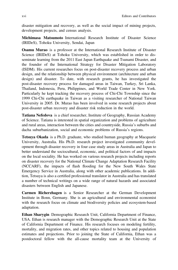disaster mitigation and recovery, as well as the social impact of mining projects, development projects, and census analysis.

Michimasa Matsumoto International Research Institute of Disaster Science (IRIDeS), Tohoku University, Sendai, Japan

Osamu Murao is a professor at the International Research Institute of Disaster Science (IRIDeS) at Tohoku University, which was established in order to disseminate learning from the 2011 East Japan Earthquake and Tsunami Disaster, and the founder of the International Strategy for Disaster Mitigation Laboratory (ISDM). His current researches focus on post-disaster recovery process and urban design, and the relationship between physical environment (architecture and urban design) and disaster. To date, with research grants, he has investigated the post-disaster recovery process for damaged areas in Taiwan, Turkey, Sri Lanka, Thailand, Indonesia, Peru, Philippines, and World Trade Center in New York. Particularly he kept tracking the recovery process of Chi-Chi Township since the 1999 Chi-Chi earthquake in Taiwan as a visiting researcher of National Taiwan University in 2005. Dr. Murao has been involved in some research projects about post-disaster urban recovery and disaster risk reduction in the world.

Tatiana Nefedova is a chief researcher, Institute of Geography, Russian Academy of Science. Tatiana is interested in spatial organization and problems of agriculture and rural areas, interaction between the cities and countryside, Russia's suburbs and dacha suburbanization, social and economic problems of Russia's regions.

Tetsuya Okada is a Ph.D. graduate, who studied human geography at Macquarie University, Australia. His Ph.D. research project investigated community development through disaster recovery in four case study areas in Australia and Japan to better understand the sociocultural, economic, and political factors of and impacts on the local sociality. He has worked on various research projects including reports on disaster recovery for the National Climate Change Adaptation Research Facility (NCCARF), the impacts of flash flooding for the New South Wales State Emergency Service in Australia, along with other academic publications. In addition, Tetsuya is also a certified professional translator in Australia and has translated a number of technical writings on a wide range of natural hazards and associated disasters between English and Japanese.

Carmen Richerzhagen is a Senior Researcher at the German Development Institute in Bonn, Germany. She is an agricultural and environmental economist with the research focus on climate and biodiversity policies and ecosystem-based adaptation.

Ethan Sharygin Demographic Research Unit, California Department of Finance, USA. Ethan is research manager with the Demographic Research Unit at the State of California Department of Finance. His research focuses on modeling fertility, mortality, and migration rates, and other topics related to housing and population estimates and projections. Prior to joining the State of California, Ethan was a postdoctoral fellow with the all-cause mortality team at the University of